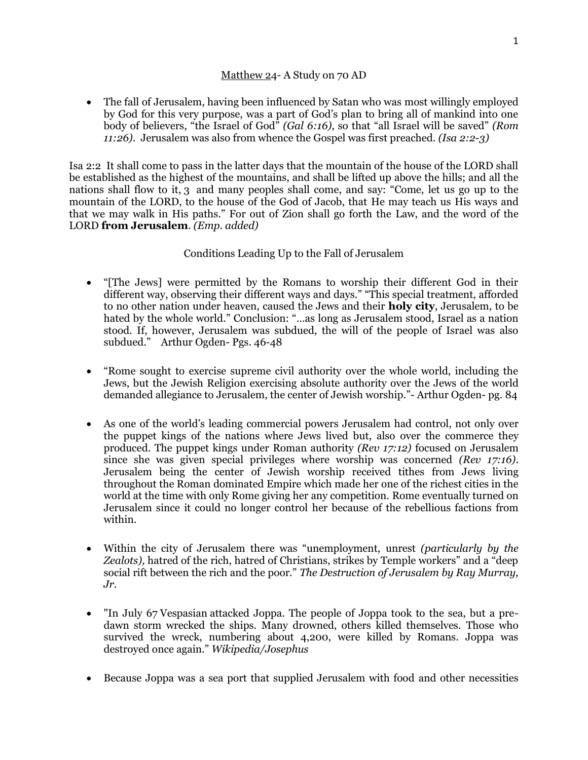## Matthew 24- A Study on 70 AD

 The fall of Jerusalem, having been influenced by Satan who was most willingly employed by God for this very purpose, was a part of God's plan to bring all of mankind into one body of believers, "the Israel of God" *(Gal 6:16)*, so that "all Israel will be saved" *(Rom 11:26)*. Jerusalem was also from whence the Gospel was first preached. *(Isa 2:2-3)*

Isa 2:2 It shall come to pass in the latter days that the mountain of the house of the LORD shall be established as the highest of the mountains, and shall be lifted up above the hills; and all the nations shall flow to it, 3 and many peoples shall come, and say: "Come, let us go up to the mountain of the LORD, to the house of the God of Jacob, that He may teach us His ways and that we may walk in His paths." For out of Zion shall go forth the Law, and the word of the LORD **from Jerusalem**. *(Emp. added)*

## Conditions Leading Up to the Fall of Jerusalem

- "[The Jews] were permitted by the Romans to worship their different God in their different way, observing their different ways and days." "This special treatment, afforded to no other nation under heaven, caused the Jews and their **holy city**, Jerusalem, to be hated by the whole world." Conclusion: "…as long as Jerusalem stood, Israel as a nation stood. If, however, Jerusalem was subdued, the will of the people of Israel was also subdued." Arthur Ogden- Pgs. 46-48
- "Rome sought to exercise supreme civil authority over the whole world, including the Jews, but the Jewish Religion exercising absolute authority over the Jews of the world demanded allegiance to Jerusalem, the center of Jewish worship."- Arthur Ogden- pg. 84
- As one of the world's leading commercial powers Jerusalem had control, not only over the puppet kings of the nations where Jews lived but, also over the commerce they produced. The puppet kings under Roman authority *(Rev 17:12)* focused on Jerusalem since she was given special privileges where worship was concerned *(Rev 17:16)*. Jerusalem being the center of Jewish worship received tithes from Jews living throughout the Roman dominated Empire which made her one of the richest cities in the world at the time with only Rome giving her any competition. Rome eventually turned on Jerusalem since it could no longer control her because of the rebellious factions from within.
- Within the city of Jerusalem there was "unemployment, unrest *(particularly by the Zealots),* hatred of the rich, hatred of Christians, strikes by Temple workers" and a "deep social rift between the rich and the poor." *The Destruction of Jerusalem by Ray Murray, Jr.*
- "In July 67 [Vespasian](https://en.wikipedia.org/wiki/Vespasian) attacked Joppa. The people of Joppa took to the sea, but a predawn storm wrecked the ships. Many drowned, others killed themselves. Those who survived the wreck, numbering about 4,200, were killed by Romans. Joppa was destroyed once again." *Wikipedia/Josephus*
- Because Joppa was a sea port that supplied Jerusalem with food and other necessities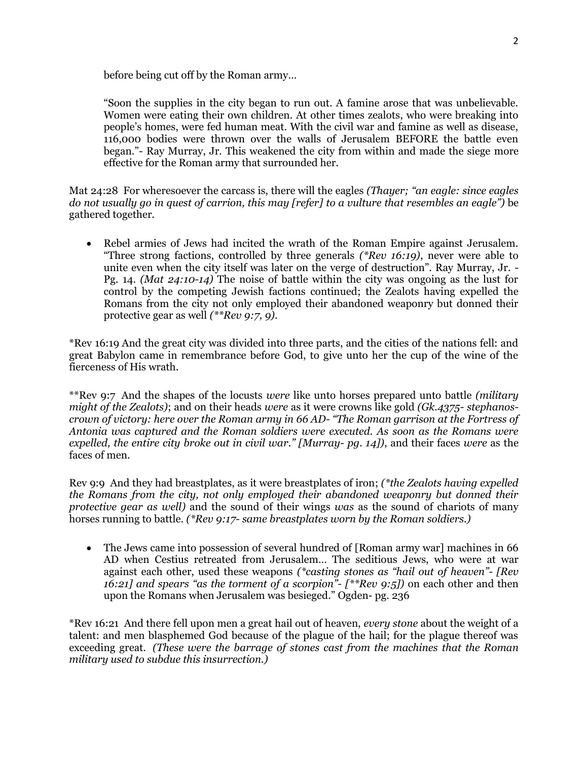before being cut off by the Roman army…

"Soon the supplies in the city began to run out. A famine arose that was unbelievable. Women were eating their own children. At other times zealots, who were breaking into people's homes, were fed human meat. With the civil war and famine as well as disease, 116,000 bodies were thrown over the walls of Jerusalem BEFORE the battle even began."- Ray Murray, Jr. This weakened the city from within and made the siege more effective for the Roman army that surrounded her.

Mat 24:28 For wheresoever the carcass is, there will the eagles *(Thayer; "an eagle: since eagles do not usually go in quest of carrion, this may [refer] to a vulture that resembles an eagle")* be gathered together.

 Rebel armies of Jews had incited the wrath of the Roman Empire against Jerusalem. "Three strong factions, controlled by three generals *(\*Rev 16:19)*, never were able to unite even when the city itself was later on the verge of destruction". Ray Murray, Jr. - Pg. 14. *(Mat 24:10-14)* The noise of battle within the city was ongoing as the lust for control by the competing Jewish factions continued; the Zealots having expelled the Romans from the city not only employed their abandoned weaponry but donned their protective gear as well *(\*\*Rev 9:7, 9)*.

\*Rev 16:19 And the great city was divided into three parts, and the cities of the nations fell: and great Babylon came in remembrance before God, to give unto her the cup of the wine of the fierceness of His wrath.

\*\*Rev 9:7 And the shapes of the locusts *were* like unto horses prepared unto battle *(military might of the Zealots)*; and on their heads *were* as it were crowns like gold *(Gk.4375- stephanoscrown of victory: here over the Roman army in 66 AD- "The Roman garrison at the Fortress of Antonia was captured and the Roman soldiers were executed. As soon as the Romans were expelled, the entire city broke out in civil war." [Murray- pg. 14])*, and their faces *were* as the faces of men.

Rev 9:9 And they had breastplates, as it were breastplates of iron; *(\*the Zealots having expelled the Romans from the city, not only employed their abandoned weaponry but donned their protective gear as well)* and the sound of their wings *was* as the sound of chariots of many horses running to battle. *(\*Rev 9:17- same breastplates worn by the Roman soldiers.)*

 The Jews came into possession of several hundred of [Roman army war] machines in 66 AD when Cestius retreated from Jerusalem… The seditious Jews, who were at war against each other, used these weapons *(\*casting stones as "hail out of heaven"- [Rev 16:21] and spears "as the torment of a scorpion"- [\*\*Rev 9:5])* on each other and then upon the Romans when Jerusalem was besieged." Ogden- pg. 236

\*Rev 16:21 And there fell upon men a great hail out of heaven, *every stone* about the weight of a talent: and men blasphemed God because of the plague of the hail; for the plague thereof was exceeding great. *(These were the barrage of stones cast from the machines that the Roman military used to subdue this insurrection.)*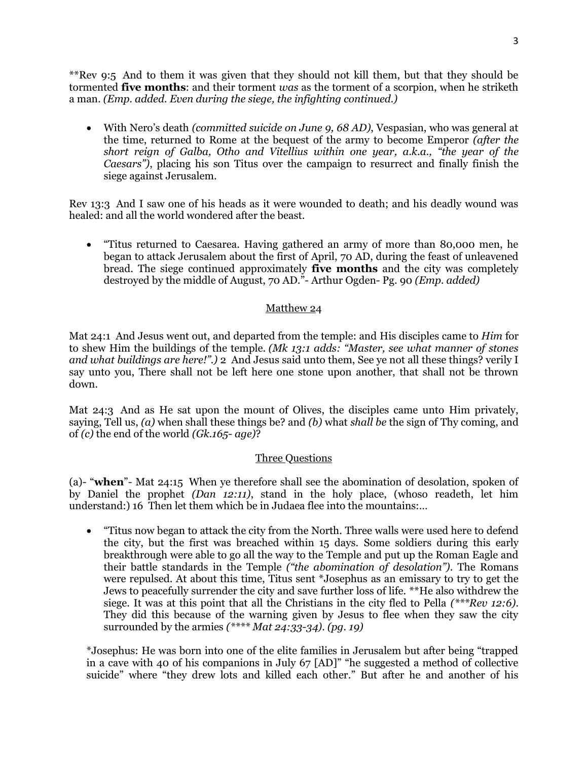\*\*Rev 9:5 And to them it was given that they should not kill them, but that they should be tormented **five months**: and their torment *was* as the torment of a scorpion, when he striketh a man. *(Emp. added. Even during the siege, the infighting continued.)*

 With Nero's death *(committed suicide on June 9, 68 AD)*, Vespasian, who was general at the time, returned to Rome at the bequest of the army to become Emperor *(after the short reign of Galba, Otho and Vitellius within one year, a.k.a., "the year of the Caesars")*, placing his son Titus over the campaign to resurrect and finally finish the siege against Jerusalem.

Rev 13:3 And I saw one of his heads as it were wounded to death; and his deadly wound was healed: and all the world wondered after the beast.

 "Titus returned to Caesarea. Having gathered an army of more than 80,000 men, he began to attack Jerusalem about the first of April, 70 AD, during the feast of unleavened bread. The siege continued approximately **five months** and the city was completely destroyed by the middle of August, 70 AD."- Arthur Ogden- Pg. 90 *(Emp. added)*

## Matthew 24

Mat 24:1 And Jesus went out, and departed from the temple: and His disciples came to *Him* for to shew Him the buildings of the temple. *(Mk 13:1 adds: "Master, see what manner of stones and what buildings are here!".)* 2 And Jesus said unto them, See ye not all these things? verily I say unto you, There shall not be left here one stone upon another, that shall not be thrown down.

Mat 24:3 And as He sat upon the mount of Olives, the disciples came unto Him privately, saying, Tell us, *(a)* when shall these things be? and *(b)* what *shall be* the sign of Thy coming, and of *(c)* the end of the world *(Gk.165- age)*?

## Three Questions

(a)- "**when**"- Mat 24:15 When ye therefore shall see the abomination of desolation, spoken of by Daniel the prophet *(Dan 12:11)*, stand in the holy place, (whoso readeth, let him understand:) 16 Then let them which be in Judaea flee into the mountains:…

 "Titus now began to attack the city from the North. Three walls were used here to defend the city, but the first was breached within 15 days. Some soldiers during this early breakthrough were able to go all the way to the Temple and put up the Roman Eagle and their battle standards in the Temple *("the abomination of desolation")*. The Romans were repulsed. At about this time, Titus sent \*Josephus as an emissary to try to get the Jews to peacefully surrender the city and save further loss of life. \*\*He also withdrew the siege. It was at this point that all the Christians in the city fled to Pella *(\*\*\*Rev 12:6)*. They did this because of the warning given by Jesus to flee when they saw the city surrounded by the armies *(\*\*\*\* Mat 24:33-34)*. *(pg. 19)*

\*Josephus: He was born into one of the elite families in Jerusalem but after being "trapped in a cave with 40 of his companions in July 67 [AD]" "he suggested a method of collective suicide" where "they drew lots and killed each other." But after he and another of his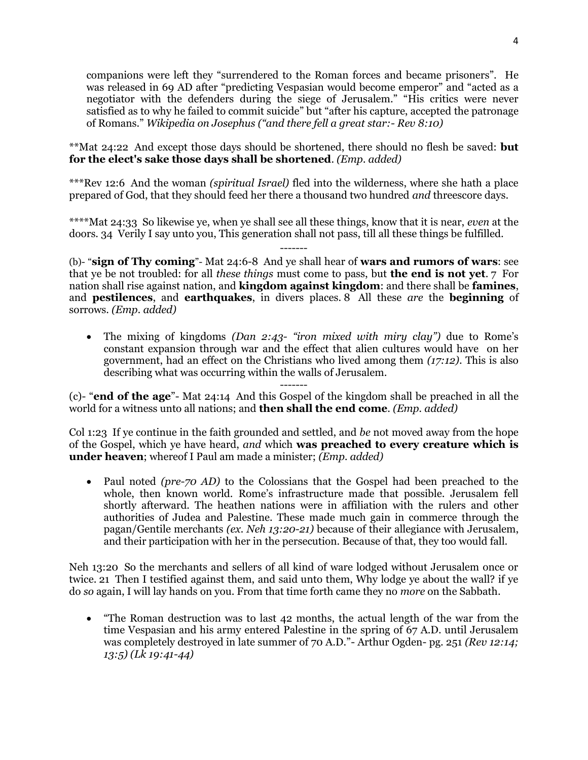companions were left they "surrendered to the Roman forces and became prisoners". He was released in 69 AD after "predicting Vespasian would become emperor" and "acted as a negotiator with the defenders during the siege of Jerusalem." "His critics were never satisfied as to why he failed to commit suicide" but "after his capture, accepted the patronage of Romans." *Wikipedia on Josephus ("and there fell a great star:- Rev 8:10)*

\*\*Mat 24:22 And except those days should be shortened, there should no flesh be saved: **but for the elect's sake those days shall be shortened**. *(Emp. added)*

\*\*\*Rev 12:6 And the woman *(spiritual Israel)* fled into the wilderness, where she hath a place prepared of God, that they should feed her there a thousand two hundred *and* threescore days.

\*\*\*\*Mat 24:33 So likewise ye, when ye shall see all these things, know that it is near, *even* at the doors. 34 Verily I say unto you, This generation shall not pass, till all these things be fulfilled.

(b)- "**sign of Thy coming**"- Mat 24:6-8 And ye shall hear of **wars and rumors of wars**: see that ye be not troubled: for all *these things* must come to pass, but **the end is not yet**. 7 For nation shall rise against nation, and **kingdom against kingdom**: and there shall be **famines**, and **pestilences**, and **earthquakes**, in divers places. 8 All these *are* the **beginning** of sorrows. *(Emp. added)*

 The mixing of kingdoms *(Dan 2:43- "iron mixed with miry clay")* due to Rome's constant expansion through war and the effect that alien cultures would have on her government, had an effect on the Christians who lived among them *(17:12)*. This is also describing what was occurring within the walls of Jerusalem.

------- (c)- "**end of the age**"- Mat 24:14 And this Gospel of the kingdom shall be preached in all the world for a witness unto all nations; and **then shall the end come**. *(Emp. added)*

Col 1:23 If ye continue in the faith grounded and settled, and *be* not moved away from the hope of the Gospel, which ye have heard, *and* which **was preached to every creature which is under heaven**; whereof I Paul am made a minister; *(Emp. added)*

• Paul noted *(pre-70 AD)* to the Colossians that the Gospel had been preached to the whole, then known world. Rome's infrastructure made that possible. Jerusalem fell shortly afterward. The heathen nations were in affiliation with the rulers and other authorities of Judea and Palestine. These made much gain in commerce through the pagan/Gentile merchants *(ex. Neh 13:20-21)* because of their allegiance with Jerusalem, and their participation with her in the persecution. Because of that, they too would fall.

Neh 13:20 So the merchants and sellers of all kind of ware lodged without Jerusalem once or twice. 21 Then I testified against them, and said unto them, Why lodge ye about the wall? if ye do *so* again, I will lay hands on you. From that time forth came they no *more* on the Sabbath.

 "The Roman destruction was to last 42 months, the actual length of the war from the time Vespasian and his army entered Palestine in the spring of 67 A.D. until Jerusalem was completely destroyed in late summer of 70 A.D."- Arthur Ogden- pg. 251 *(Rev 12:14; 13:5) (Lk 19:41-44)*